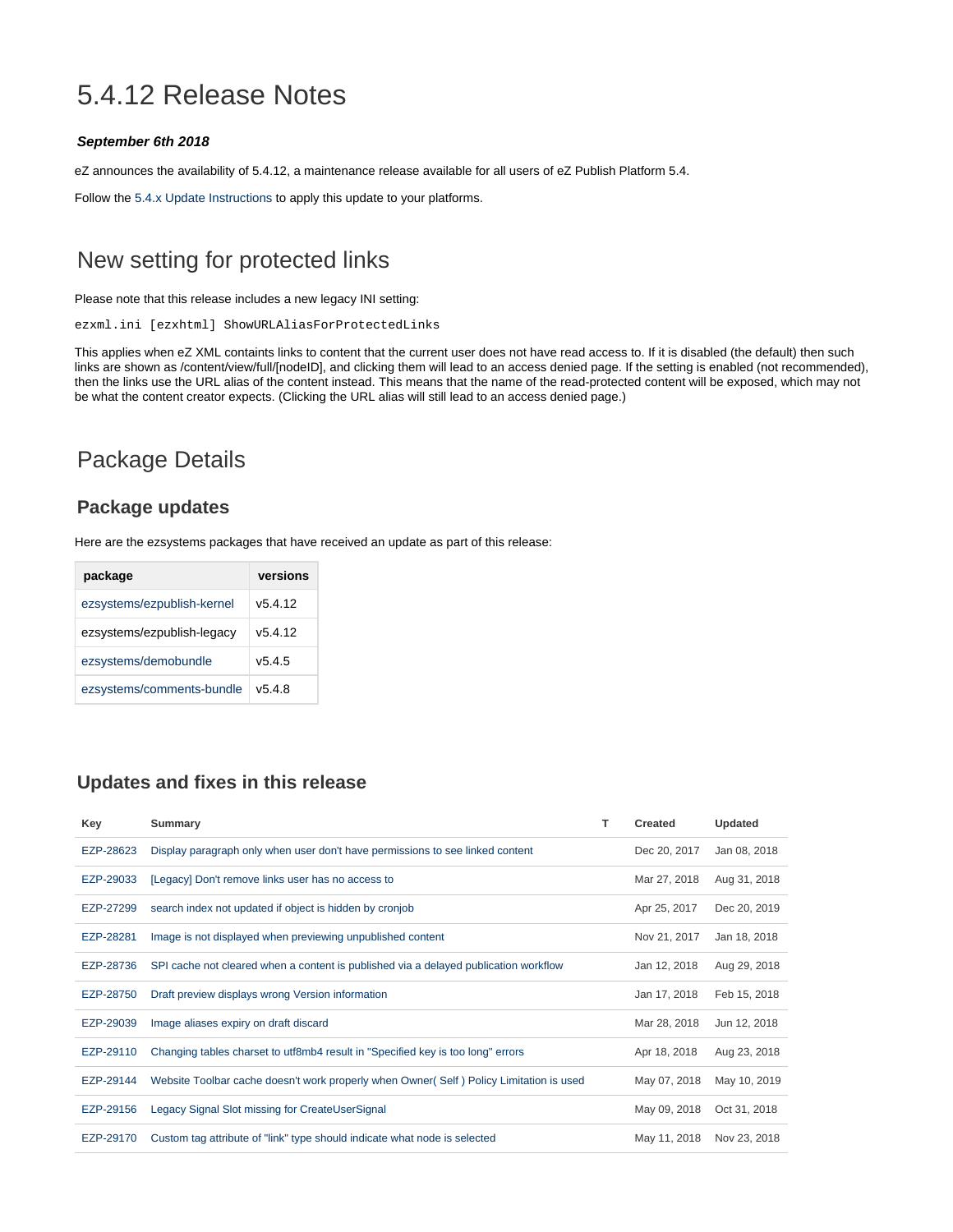# 5.4.12 Release Notes

#### **September 6th 2018**

eZ announces the availability of 5.4.12, a maintenance release available for all users of eZ Publish Platform 5.4.

Follow the [5.4.x Update Instructions](https://doc.ez.no/display/EZP/5.4.x+Update+Instructions) to apply this update to your platforms.

## New setting for protected links

Please note that this release includes a new legacy INI setting:

ezxml.ini [ezxhtml] ShowURLAliasForProtectedLinks

This applies when eZ XML containts links to content that the current user does not have read access to. If it is disabled (the default) then such links are shown as /content/view/full/[nodeID], and clicking them will lead to an access denied page. If the setting is enabled (not recommended), then the links use the URL alias of the content instead. This means that the name of the read-protected content will be exposed, which may not be what the content creator expects. (Clicking the URL alias will still lead to an access denied page.)

### Package Details

#### **Package updates**

Here are the ezsystems packages that have received an update as part of this release:

| package                    | versions |
|----------------------------|----------|
| ezsystems/ezpublish-kernel | v5.4.12  |
| ezsystems/ezpublish-legacy | v5.4.12  |
| ezsystems/demobundle       | v5.4.5   |
| ezsystems/comments-bundle  | v5.4.8   |

### **Updates and fixes in this release**

| Key       | Summary                                                                                 | т | Created      | Updated      |
|-----------|-----------------------------------------------------------------------------------------|---|--------------|--------------|
| EZP-28623 | Display paragraph only when user don't have permissions to see linked content           |   | Dec 20, 2017 | Jan 08, 2018 |
| EZP-29033 | [Legacy] Don't remove links user has no access to                                       |   | Mar 27, 2018 | Aug 31, 2018 |
| EZP-27299 | search index not updated if object is hidden by cronjob                                 |   | Apr 25, 2017 | Dec 20, 2019 |
| EZP-28281 | Image is not displayed when previewing unpublished content                              |   | Nov 21, 2017 | Jan 18, 2018 |
| EZP-28736 | SPI cache not cleared when a content is published via a delayed publication workflow    |   | Jan 12, 2018 | Aug 29, 2018 |
| EZP-28750 | Draft preview displays wrong Version information                                        |   | Jan 17, 2018 | Feb 15, 2018 |
| EZP-29039 | Image aliases expiry on draft discard                                                   |   | Mar 28, 2018 | Jun 12, 2018 |
| EZP-29110 | Changing tables charset to utf8mb4 result in "Specified key is too long" errors         |   | Apr 18, 2018 | Aug 23, 2018 |
| EZP-29144 | Website Toolbar cache doesn't work properly when Owner (Self) Policy Limitation is used |   | May 07, 2018 | May 10, 2019 |
| EZP-29156 | Legacy Signal Slot missing for CreateUserSignal                                         |   | May 09, 2018 | Oct 31, 2018 |
| EZP-29170 | Custom tag attribute of "link" type should indicate what node is selected               |   | May 11, 2018 | Nov 23, 2018 |